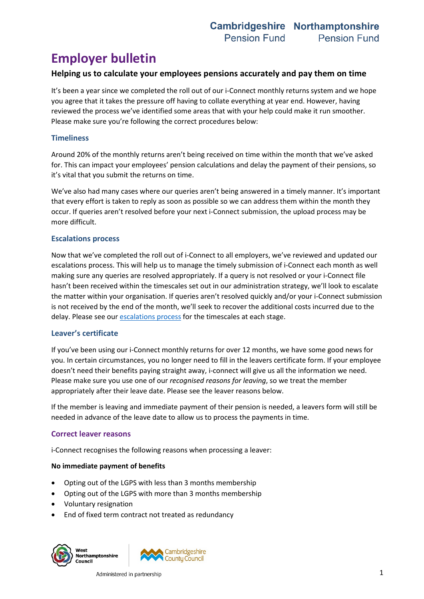# **Employer bulletin**

## **Helping us to calculate your employees pensions accurately and pay them on time**

It's been a year since we completed the roll out of our i-Connect monthly returns system and we hope you agree that it takes the pressure off having to collate everything at year end. However, having reviewed the process we've identified some areas that with your help could make it run smoother. Please make sure you're following the correct procedures below:

### **Timeliness**

Around 20% of the monthly returns aren't being received on time within the month that we've asked for. This can impact your employees' pension calculations and delay the payment of their pensions, so it's vital that you submit the returns on time.

We've also had many cases where our queries aren't being answered in a timely manner. It's important that every effort is taken to reply as soon as possible so we can address them within the month they occur. If queries aren't resolved before your next i-Connect submission, the upload process may be more difficult.

#### **Escalations process**

Now that we've completed the roll out of i-Connect to all employers, we've reviewed and updated our escalations process. This will help us to manage the timely submission of i-Connect each month as well making sure any queries are resolved appropriately. If a query is not resolved or your i-Connect file hasn't been received within the timescales set out in our administration strategy, we'll look to escalate the matter within your organisation. If queries aren't resolved quickly and/or your i-Connect submission is not received by the end of the month, we'll seek to recover the additional costs incurred due to the delay. Please see our [escalations](https://pensions.northamptonshire.gov.uk/app/uploads/2022/02/PensionsEscalationsProcess.pdf) process for the timescales at each stage.

#### **Leaver's certificate**

If you've been using our i-Connect monthly returns for over 12 months, we have some good news for you. In certain circumstances, you no longer need to fill in the leavers certificate form. If your employee doesn't need their benefits paying straight away, i-connect will give us all the information we need. Please make sure you use one of our *recognised reasons for leaving*, so we treat the member appropriately after their leave date. Please see the leaver reasons below.

If the member is leaving and immediate payment of their pension is needed, a leavers form will still be needed in advance of the leave date to allow us to process the payments in time.

#### **Correct leaver reasons**

i-Connect recognises the following reasons when processing a leaver:

#### **No immediate payment of benefits**

- Opting out of the LGPS with less than 3 months membership
- Opting out of the LGPS with more than 3 months membership
- Voluntary resignation
- End of fixed term contract not treated as redundancy

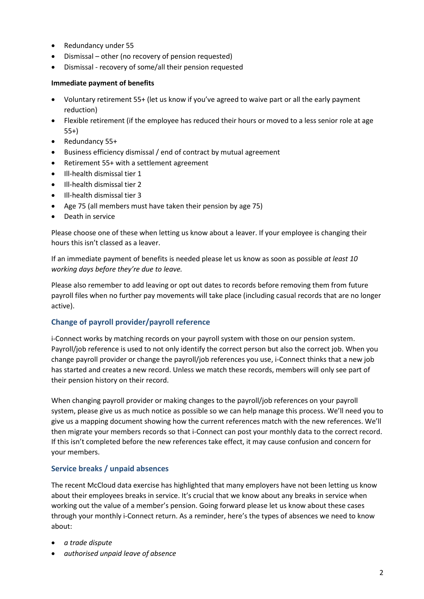- Redundancy under 55
- Dismissal other (no recovery of pension requested)
- Dismissal recovery of some/all their pension requested

#### **Immediate payment of benefits**

- Voluntary retirement 55+ (let us know if you've agreed to waive part or all the early payment reduction)
- Flexible retirement (if the employee has reduced their hours or moved to a less senior role at age 55+)
- Redundancy 55+
- Business efficiency dismissal / end of contract by mutual agreement
- Retirement 55+ with a settlement agreement
- Ill-health dismissal tier 1
- Ill-health dismissal tier 2
- Ill-health dismissal tier 3
- Age 75 (all members must have taken their pension by age 75)
- Death in service

Please choose one of these when letting us know about a leaver. If your employee is changing their hours this isn't classed as a leaver.

If an immediate payment of benefits is needed please let us know as soon as possible *at least 10 working days before they're due to leave.*

Please also remember to add leaving or opt out dates to records before removing them from future payroll files when no further pay movements will take place (including casual records that are no longer active).

## **Change of payroll provider/payroll reference**

i-Connect works by matching records on your payroll system with those on our pension system. Payroll/job reference is used to not only identify the correct person but also the correct job. When you change payroll provider or change the payroll/job references you use, i-Connect thinks that a new job has started and creates a new record. Unless we match these records, members will only see part of their pension history on their record.

When changing payroll provider or making changes to the payroll/job references on your payroll system, please give us as much notice as possible so we can help manage this process. We'll need you to give us a mapping document showing how the current references match with the new references. We'll then migrate your members records so that i-Connect can post your monthly data to the correct record. If this isn't completed before the new references take effect, it may cause confusion and concern for your members.

#### **Service breaks / unpaid absences**

The recent McCloud data exercise has highlighted that many employers have not been letting us know about their employees breaks in service. It's crucial that we know about any breaks in service when working out the value of a member's pension. Going forward please let us know about these cases through your monthly i-Connect return. As a reminder, here's the types of absences we need to know about:

- *a trade dispute*
- *authorised unpaid leave of absence*